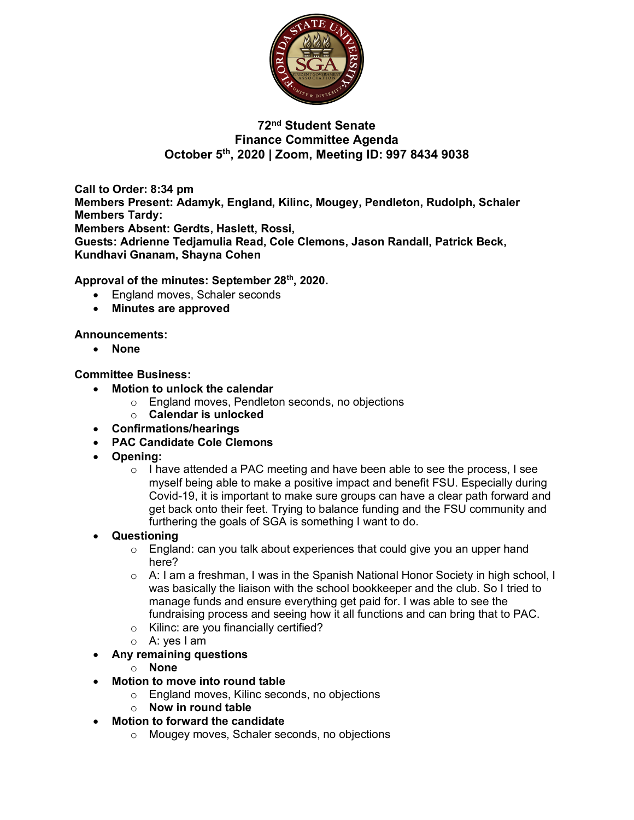

# **72nd Student Senate Finance Committee Agenda October 5th, 2020 | Zoom, Meeting ID: 997 8434 9038**

**Call to Order: 8:34 pm Members Present: Adamyk, England, Kilinc, Mougey, Pendleton, Rudolph, Schaler Members Tardy: Members Absent: Gerdts, Haslett, Rossi, Guests: Adrienne Tedjamulia Read, Cole Clemons, Jason Randall, Patrick Beck, Kundhavi Gnanam, Shayna Cohen**

**Approval of the minutes: September 28th, 2020.**

- England moves, Schaler seconds
- **Minutes are approved**

#### **Announcements:**

• **None**

#### **Committee Business:**

- **Motion to unlock the calendar**
	- o England moves, Pendleton seconds, no objections
	- o **Calendar is unlocked**
- **Confirmations/hearings**
- **PAC Candidate Cole Clemons**
- **Opening:**
	- $\circ$  I have attended a PAC meeting and have been able to see the process, I see myself being able to make a positive impact and benefit FSU. Especially during Covid-19, it is important to make sure groups can have a clear path forward and get back onto their feet. Trying to balance funding and the FSU community and furthering the goals of SGA is something I want to do.
- **Questioning**
	- $\circ$  England: can you talk about experiences that could give you an upper hand here?
	- o A: I am a freshman, I was in the Spanish National Honor Society in high school, I was basically the liaison with the school bookkeeper and the club. So I tried to manage funds and ensure everything get paid for. I was able to see the fundraising process and seeing how it all functions and can bring that to PAC.
	- o Kilinc: are you financially certified?
	- o A: yes I am
- **Any remaining questions**
	- o **None**
	- **Motion to move into round table**
		- o England moves, Kilinc seconds, no objections
		- o **Now in round table**
- **Motion to forward the candidate**
	- o Mougey moves, Schaler seconds, no objections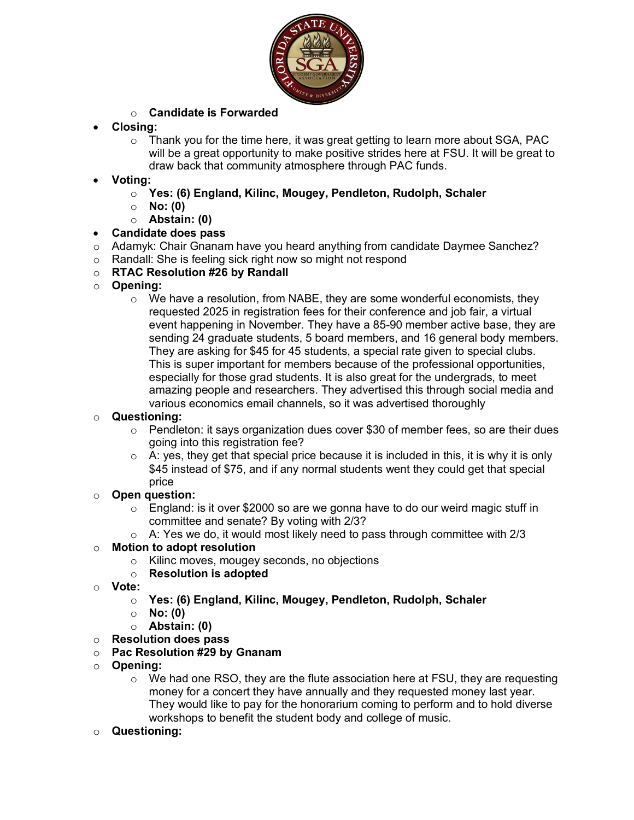

### o **Candidate is Forwarded**

### • **Closing:**

 $\circ$  Thank you for the time here, it was great getting to learn more about SGA, PAC will be a great opportunity to make positive strides here at FSU. It will be great to draw back that community atmosphere through PAC funds.

# • **Voting:**

- o **Yes: (6) England, Kilinc, Mougey, Pendleton, Rudolph, Schaler**
- o **No: (0)**
- o **Abstain: (0)**

# • **Candidate does pass**

- $\circ$  Adamyk: Chair Gnanam have you heard anything from candidate Daymee Sanchez?
- o Randall: She is feeling sick right now so might not respond
- o **RTAC Resolution #26 by Randall**
- o **Opening:**
	- $\circ$  We have a resolution, from NABE, they are some wonderful economists, they requested 2025 in registration fees for their conference and job fair, a virtual event happening in November. They have a 85-90 member active base, they are sending 24 graduate students, 5 board members, and 16 general body members. They are asking for \$45 for 45 students, a special rate given to special clubs. This is super important for members because of the professional opportunities, especially for those grad students. It is also great for the undergrads, to meet amazing people and researchers. They advertised this through social media and various economics email channels, so it was advertised thoroughly

# o **Questioning:**

- $\circ$  Pendleton: it says organization dues cover \$30 of member fees, so are their dues going into this registration fee?
- $\circ$  A: yes, they get that special price because it is included in this, it is why it is only \$45 instead of \$75, and if any normal students went they could get that special price

### o **Open question:**

- $\circ$  England: is it over \$2000 so are we gonna have to do our weird magic stuff in committee and senate? By voting with 2/3?
- $\circ$  A: Yes we do, it would most likely need to pass through committee with 2/3

### o **Motion to adopt resolution**

- o Kilinc moves, mougey seconds, no objections
- o **Resolution is adopted**
- o **Vote:**
	- o **Yes: (6) England, Kilinc, Mougey, Pendleton, Rudolph, Schaler**
	- o **No: (0)**
	- o **Abstain: (0)**
- o **Resolution does pass**
- o **Pac Resolution #29 by Gnanam**
- o **Opening:** 
	- $\circ$  We had one RSO, they are the flute association here at FSU, they are requesting money for a concert they have annually and they requested money last year. They would like to pay for the honorarium coming to perform and to hold diverse workshops to benefit the student body and college of music.
- o **Questioning:**